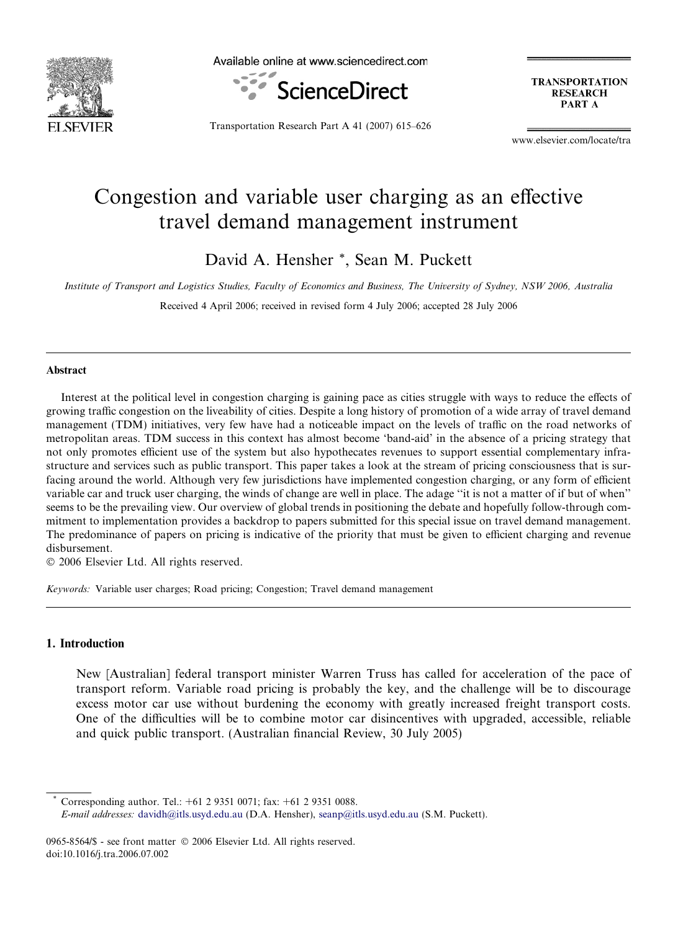

Available online at www.sciencedirect.com



**TRANSPORTATION RESEARCH** PART A

Transportation Research Part A 41 (2007) 615–626

www.elsevier.com/locate/tra

## Congestion and variable user charging as an effective travel demand management instrument

David A. Hensher \*, Sean M. Puckett

Institute of Transport and Logistics Studies, Faculty of Economics and Business, The University of Sydney, NSW 2006, Australia

Received 4 April 2006; received in revised form 4 July 2006; accepted 28 July 2006

### Abstract

Interest at the political level in congestion charging is gaining pace as cities struggle with ways to reduce the effects of growing traffic congestion on the liveability of cities. Despite a long history of promotion of a wide array of travel demand management (TDM) initiatives, very few have had a noticeable impact on the levels of traffic on the road networks of metropolitan areas. TDM success in this context has almost become 'band-aid' in the absence of a pricing strategy that not only promotes efficient use of the system but also hypothecates revenues to support essential complementary infrastructure and services such as public transport. This paper takes a look at the stream of pricing consciousness that is surfacing around the world. Although very few jurisdictions have implemented congestion charging, or any form of efficient variable car and truck user charging, the winds of change are well in place. The adage ''it is not a matter of if but of when'' seems to be the prevailing view. Our overview of global trends in positioning the debate and hopefully follow-through commitment to implementation provides a backdrop to papers submitted for this special issue on travel demand management. The predominance of papers on pricing is indicative of the priority that must be given to efficient charging and revenue disbursement.

© 2006 Elsevier Ltd. All rights reserved.

Keywords: Variable user charges; Road pricing; Congestion; Travel demand management

#### 1. Introduction

New [Australian] federal transport minister Warren Truss has called for acceleration of the pace of transport reform. Variable road pricing is probably the key, and the challenge will be to discourage excess motor car use without burdening the economy with greatly increased freight transport costs. One of the difficulties will be to combine motor car disincentives with upgraded, accessible, reliable and quick public transport. (Australian financial Review, 30 July 2005)

Corresponding author. Tel.:  $+61$  2 9351 0071; fax:  $+61$  2 9351 0088.

E-mail addresses: [davidh@itls.usyd.edu.au](mailto:davidh@itls.usyd.edu.au) (D.A. Hensher), [seanp@itls.usyd.edu.au](mailto:seanp@itls.usyd.edu.au) (S.M. Puckett).

<sup>0965-8564/\$ -</sup> see front matter © 2006 Elsevier Ltd. All rights reserved. doi:10.1016/j.tra.2006.07.002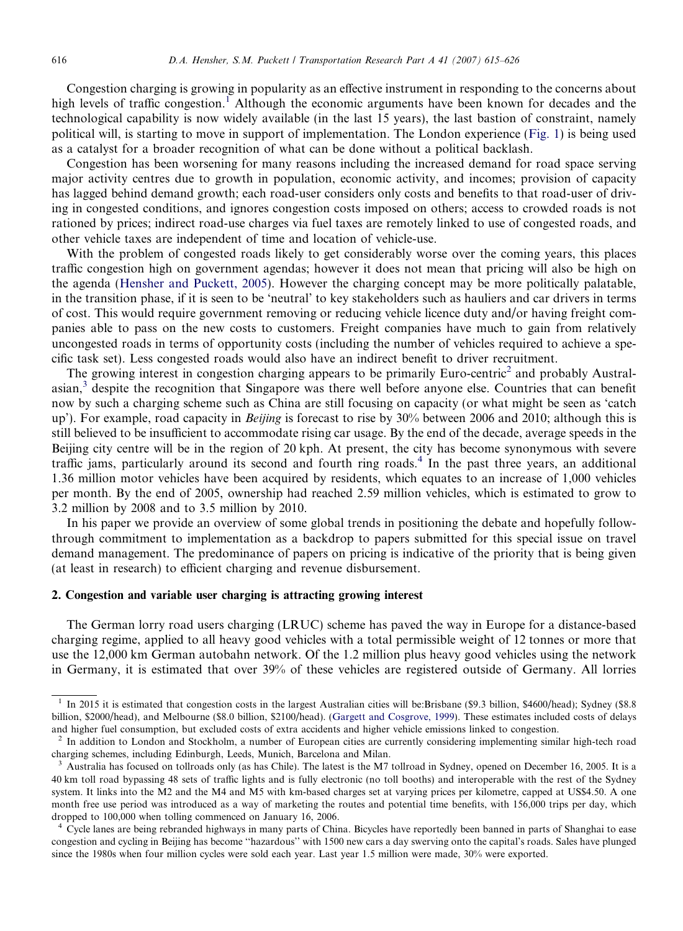Congestion charging is growing in popularity as an effective instrument in responding to the concerns about high levels of traffic congestion.<sup>1</sup> Although the economic arguments have been known for decades and the technological capability is now widely available (in the last 15 years), the last bastion of constraint, namely political will, is starting to move in support of implementation. The London experience [\(Fig. 1](#page--1-0)) is being used as a catalyst for a broader recognition of what can be done without a political backlash.

Congestion has been worsening for many reasons including the increased demand for road space serving major activity centres due to growth in population, economic activity, and incomes; provision of capacity has lagged behind demand growth; each road-user considers only costs and benefits to that road-user of driving in congested conditions, and ignores congestion costs imposed on others; access to crowded roads is not rationed by prices; indirect road-use charges via fuel taxes are remotely linked to use of congested roads, and other vehicle taxes are independent of time and location of vehicle-use.

With the problem of congested roads likely to get considerably worse over the coming years, this places traffic congestion high on government agendas; however it does not mean that pricing will also be high on the agenda [\(Hensher and Puckett, 2005](#page--1-0)). However the charging concept may be more politically palatable, in the transition phase, if it is seen to be 'neutral' to key stakeholders such as hauliers and car drivers in terms of cost. This would require government removing or reducing vehicle licence duty and/or having freight companies able to pass on the new costs to customers. Freight companies have much to gain from relatively uncongested roads in terms of opportunity costs (including the number of vehicles required to achieve a specific task set). Less congested roads would also have an indirect benefit to driver recruitment.

The growing interest in congestion charging appears to be primarily Euro-centric<sup>2</sup> and probably Australasian,<sup>3</sup> despite the recognition that Singapore was there well before anyone else. Countries that can benefit now by such a charging scheme such as China are still focusing on capacity (or what might be seen as 'catch up'). For example, road capacity in *Beijing* is forecast to rise by 30% between 2006 and 2010; although this is still believed to be insufficient to accommodate rising car usage. By the end of the decade, average speeds in the Beijing city centre will be in the region of 20 kph. At present, the city has become synonymous with severe traffic jams, particularly around its second and fourth ring roads.<sup>4</sup> In the past three years, an additional 1.36 million motor vehicles have been acquired by residents, which equates to an increase of 1,000 vehicles per month. By the end of 2005, ownership had reached 2.59 million vehicles, which is estimated to grow to 3.2 million by 2008 and to 3.5 million by 2010.

In his paper we provide an overview of some global trends in positioning the debate and hopefully followthrough commitment to implementation as a backdrop to papers submitted for this special issue on travel demand management. The predominance of papers on pricing is indicative of the priority that is being given (at least in research) to efficient charging and revenue disbursement.

#### 2. Congestion and variable user charging is attracting growing interest

The German lorry road users charging (LRUC) scheme has paved the way in Europe for a distance-based charging regime, applied to all heavy good vehicles with a total permissible weight of 12 tonnes or more that use the 12,000 km German autobahn network. Of the 1.2 million plus heavy good vehicles using the network in Germany, it is estimated that over 39% of these vehicles are registered outside of Germany. All lorries

<sup>&</sup>lt;sup>1</sup> In 2015 it is estimated that congestion costs in the largest Australian cities will be:Brisbane (\$9.3 billion, \$4600/head); Sydney (\$8.8) billion, \$2000/head), and Melbourne (\$8.0 billion, \$2100/head). [\(Gargett and Cosgrove, 1999](#page--1-0)). These estimates included costs of delays and higher fuel consumption, but excluded costs of extra accidents and higher vehicle emissions linked to congestion.

<sup>&</sup>lt;sup>2</sup> In addition to London and Stockholm, a number of European cities are currently considering implementing similar high-tech road charging schemes, including Edinburgh, Leeds, Munich, Barcelona and Milan.

<sup>3</sup> Australia has focused on tollroads only (as has Chile). The latest is the M7 tollroad in Sydney, opened on December 16, 2005. It is a 40 km toll road bypassing 48 sets of traffic lights and is fully electronic (no toll booths) and interoperable with the rest of the Sydney system. It links into the M2 and the M4 and M5 with km-based charges set at varying prices per kilometre, capped at US\$4.50. A one month free use period was introduced as a way of marketing the routes and potential time benefits, with 156,000 trips per day, which dropped to 100,000 when tolling commenced on January 16, 2006.

<sup>&</sup>lt;sup>4</sup> Cycle lanes are being rebranded highways in many parts of China. Bicycles have reportedly been banned in parts of Shanghai to ease congestion and cycling in Beijing has become ''hazardous'' with 1500 new cars a day swerving onto the capital's roads. Sales have plunged since the 1980s when four million cycles were sold each year. Last year 1.5 million were made, 30% were exported.